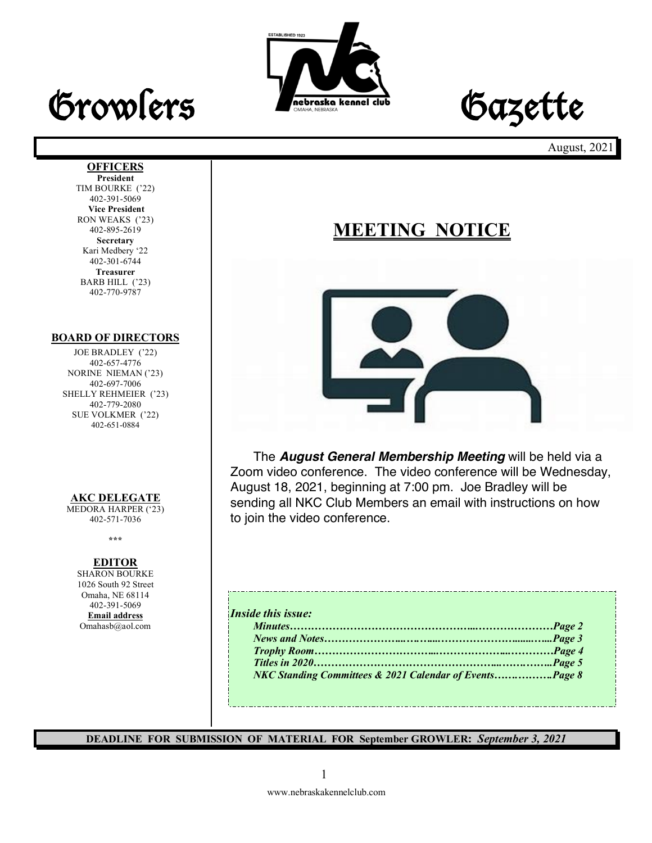



August, 2021

#### **OFFICERS**

**President** TIM BOURKE ('22) 402-391-5069 **Vice President** RON WEAKS ('23) 402-895-2619 **Secretary** Kari Medbery '22 402-301-6744 **Treasurer** BARB HILL ('23) 402-770-9787

#### **BOARD OF DIRECTORS**

JOE BRADLEY ('22) 402-657-4776 NORINE NIEMAN ('23) 402-697-7006 SHELLY REHMEIER ('23) 402-779-2080 SUE VOLKMER ('22) 402-651-0884

#### **AKC DELEGATE**

MEDORA HARPER ('23) 402-571-7036

**\*\*\***

#### **EDITOR**

SHARON BOURKE 1026 South 92 Street Omaha, NE 68114 402-391-5069 **Email address** Omahasb@aol.com

### **MEETING NOTICE**



The *August General Membership Meeting* will be held via a Zoom video conference. The video conference will be Wednesday, August 18, 2021, beginning at 7:00 pm. Joe Bradley will be sending all NKC Club Members an email with instructions on how to join the video conference.

#### *Inside this issue:*

**DEADLINE FOR SUBMISSION OF MATERIAL FOR September GROWLER:** *September 3, 2021*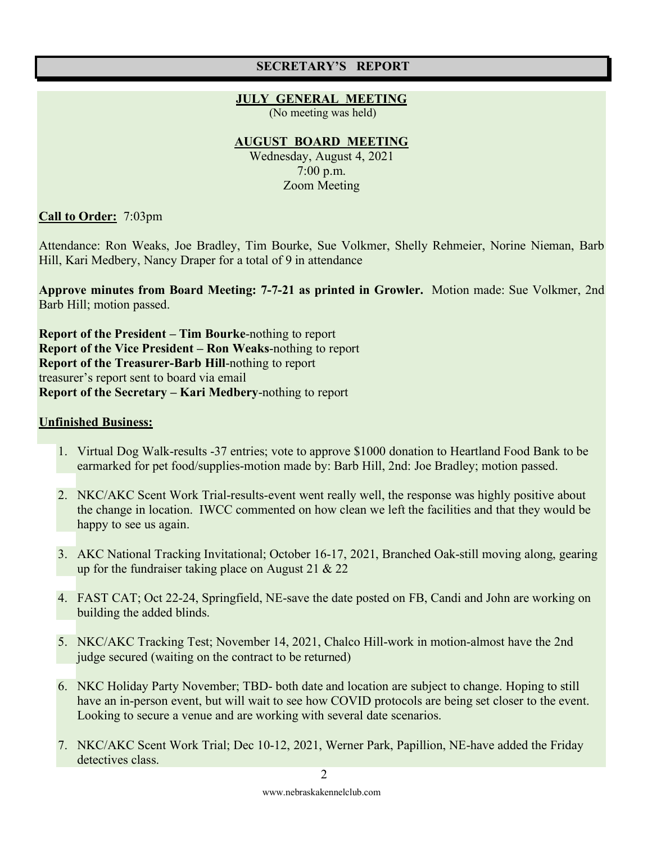#### **SECRETARY'S REPORT**

#### **JULY GENERAL MEETING**

(No meeting was held)

#### **AUGUST BOARD MEETING**

Wednesday, August 4, 2021 7:00 p.m. Zoom Meeting

**Call to Order:** 7:03pm

Attendance: Ron Weaks, Joe Bradley, Tim Bourke, Sue Volkmer, Shelly Rehmeier, Norine Nieman, Barb Hill, Kari Medbery, Nancy Draper for a total of 9 in attendance

**Approve minutes from Board Meeting: 7-7-21 as printed in Growler.** Motion made: Sue Volkmer, 2nd Barb Hill; motion passed.

**Report of the President – Tim Bourke**-nothing to report **Report of the Vice President – Ron Weaks**-nothing to report **Report of the Treasurer-Barb Hill**-nothing to report treasurer's report sent to board via email **Report of the Secretary – Kari Medbery**-nothing to report

#### **Unfinished Business:**

- 1. Virtual Dog Walk-results -37 entries; vote to approve \$1000 donation to Heartland Food Bank to be earmarked for pet food/supplies-motion made by: Barb Hill, 2nd: Joe Bradley; motion passed.
- 2. NKC/AKC Scent Work Trial-results-event went really well, the response was highly positive about the change in location. IWCC commented on how clean we left the facilities and that they would be happy to see us again.
- 3. AKC National Tracking Invitational; October 16-17, 2021, Branched Oak-still moving along, gearing up for the fundraiser taking place on August 21 & 22
- 4. FAST CAT; Oct 22-24, Springfield, NE-save the date posted on FB, Candi and John are working on building the added blinds.
- 5. NKC/AKC Tracking Test; November 14, 2021, Chalco Hill-work in motion-almost have the 2nd judge secured (waiting on the contract to be returned)
- 6. NKC Holiday Party November; TBD- both date and location are subject to change. Hoping to still have an in-person event, but will wait to see how COVID protocols are being set closer to the event. Looking to secure a venue and are working with several date scenarios.
- 7. NKC/AKC Scent Work Trial; Dec 10-12, 2021, Werner Park, Papillion, NE-have added the Friday detectives class.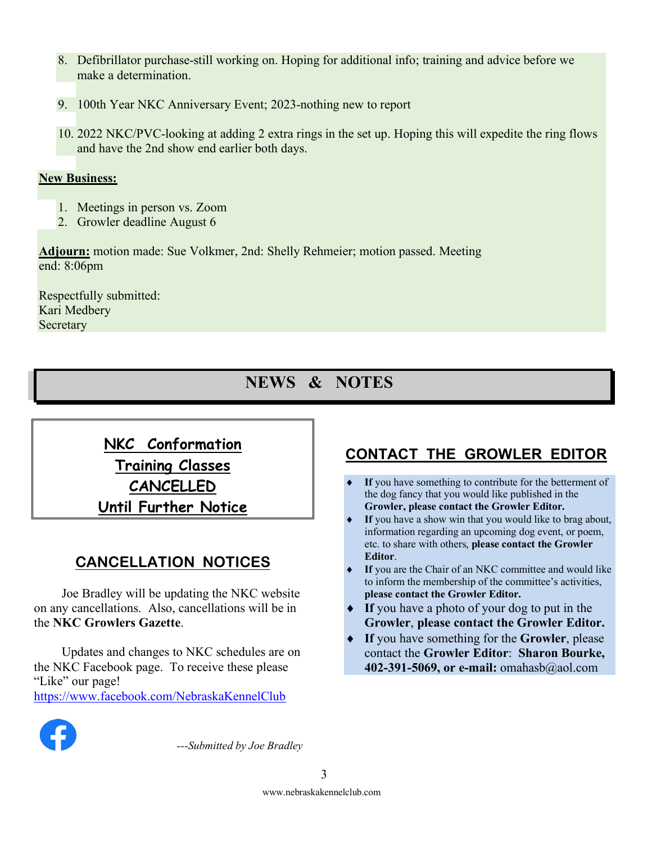- 8. Defibrillator purchase-still working on. Hoping for additional info; training and advice before we make a determination.
- 9. 100th Year NKC Anniversary Event; 2023-nothing new to report
- 10. 2022 NKC/PVC-looking at adding 2 extra rings in the set up. Hoping this will expedite the ring flows and have the 2nd show end earlier both days.

### **New Business:**

- 1. Meetings in person vs. Zoom
- 2. Growler deadline August 6

**Adjourn:** motion made: Sue Volkmer, 2nd: Shelly Rehmeier; motion passed. Meeting end: 8:06pm

Respectfully submitted: Kari Medbery **Secretary** 

## **NEWS & NOTES**

**NKC Conformation Training Classes CANCELLED Until Further Notice**

### **CANCELLATION NOTICES**

Joe Bradley will be updating the NKC website on any cancellations. Also, cancellations will be in the **NKC Growlers Gazette**.

Updates and changes to NKC schedules are on the NKC Facebook page. To receive these please "Like" our page! https://www.facebook.com/NebraskaKennelClub

### **CONTACT THE GROWLER EDITOR**

- If you have something to contribute for the betterment of the dog fancy that you would like published in the **Growler, please contact the Growler Editor.**
- If you have a show win that you would like to brag about, information regarding an upcoming dog event, or poem, etc. to share with others, **please contact the Growler Editor**.
- If you are the Chair of an NKC committee and would like to inform the membership of the committee's activities, **please contact the Growler Editor.**
- If you have a photo of your dog to put in the **Growler**, **please contact the Growler Editor.**
- ◆ If you have something for the **Growler**, please contact the **Growler Editor**: **Sharon Bourke, 402-391-5069, or e-mail:** omahasb@aol.com



*---Submitted by Joe Bradley*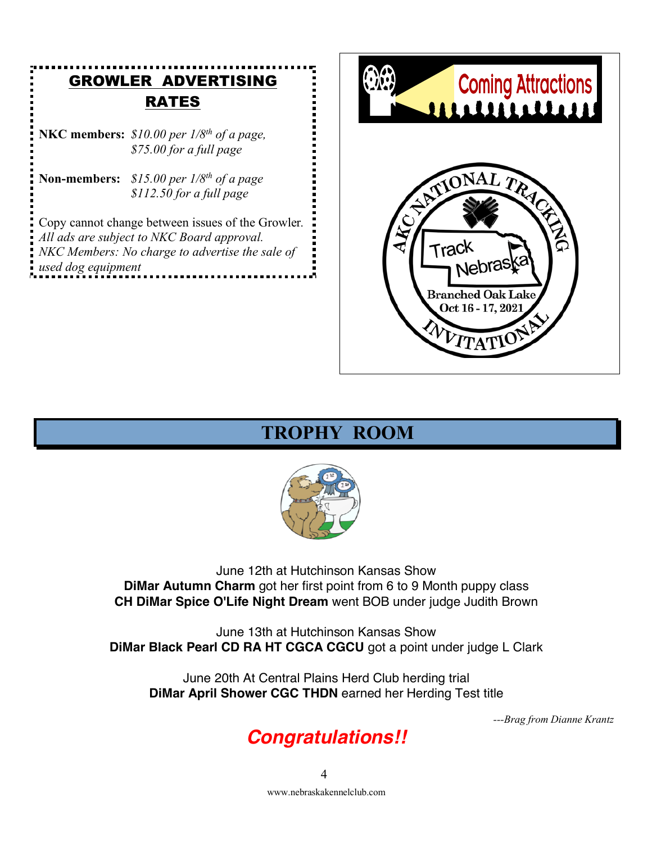### GROWLER ADVERTISING RATES

**NKC members:** *\$10.00 per 1/8th of a page, \$75.00 for a full page* 

**Non-members:** *\$15.00 per 1/8th of a page \$112.50 for a full page*

Copy cannot change between issues of the Growler*. All ads are subject to NKC Board approval. NKC Members: No charge to advertise the sale of used dog equipment*



### **TROPHY ROOM**



June 12th at Hutchinson Kansas Show **DiMar Autumn Charm** got her first point from 6 to 9 Month puppy class **CH DiMar Spice O'Life Night Dream** went BOB under judge Judith Brown

June 13th at Hutchinson Kansas Show **DiMar Black Pearl CD RA HT CGCA CGCU** got a point under judge L Clark

June 20th At Central Plains Herd Club herding trial **DiMar April Shower CGC THDN** earned her Herding Test title

*---Brag from Dianne Krantz*

# *Congratulations!!*

www.nebraskakennelclub.com  $\Delta$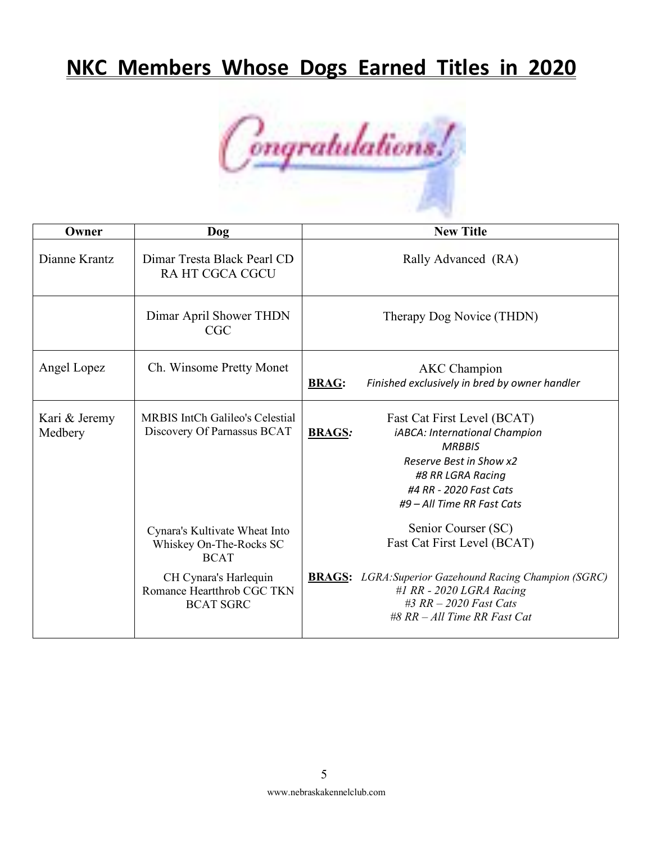# **NKC Members Whose Dogs Earned Titles in 2020**



| Owner                    | <b>Dog</b>                                                                                                                                         | <b>New Title</b>                                                                                                                                                                                                 |
|--------------------------|----------------------------------------------------------------------------------------------------------------------------------------------------|------------------------------------------------------------------------------------------------------------------------------------------------------------------------------------------------------------------|
| Dianne Krantz            | Dimar Tresta Black Pearl CD<br>RA HT CGCA CGCU                                                                                                     | Rally Advanced (RA)                                                                                                                                                                                              |
|                          | Dimar April Shower THDN<br><b>CGC</b>                                                                                                              | Therapy Dog Novice (THDN)                                                                                                                                                                                        |
| Angel Lopez              | Ch. Winsome Pretty Monet                                                                                                                           | <b>AKC</b> Champion<br>Finished exclusively in bred by owner handler<br><b>BRAG:</b>                                                                                                                             |
| Kari & Jeremy<br>Medbery | <b>MRBIS IntCh Galileo's Celestial</b><br>Discovery Of Parnassus BCAT                                                                              | Fast Cat First Level (BCAT)<br><b>BRAGS:</b><br>iABCA: International Champion<br><b>MRBBIS</b><br>Reserve Best in Show x2<br>#8 RR LGRA Racing<br>#4 RR - 2020 Fast Cats<br>#9 - All Time RR Fast Cats           |
|                          | Cynara's Kultivate Wheat Into<br>Whiskey On-The-Rocks SC<br><b>BCAT</b><br>CH Cynara's Harlequin<br>Romance Heartthrob CGC TKN<br><b>BCAT SGRC</b> | Senior Courser (SC)<br>Fast Cat First Level (BCAT)<br><b>BRAGS:</b> LGRA: Superior Gazehound Racing Champion (SGRC)<br>#1 RR - $2020$ LGRA Racing<br>$#3 RR - 2020 Fast Cats$<br>$#8$ RR $-All$ Time RR Fast Cat |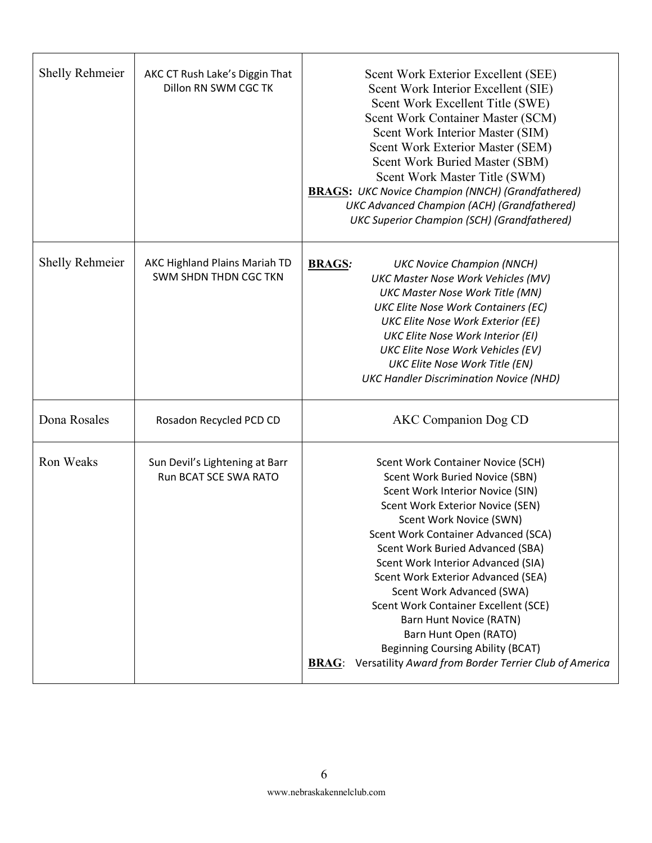| <b>Shelly Rehmeier</b> | AKC CT Rush Lake's Diggin That<br>Dillon RN SWM CGC TK         | Scent Work Exterior Excellent (SEE)<br>Scent Work Interior Excellent (SIE)<br>Scent Work Excellent Title (SWE)<br>Scent Work Container Master (SCM)<br>Scent Work Interior Master (SIM)<br>Scent Work Exterior Master (SEM)<br>Scent Work Buried Master (SBM)<br>Scent Work Master Title (SWM)<br><b>BRAGS:</b> UKC Novice Champion (NNCH) (Grandfathered)<br>UKC Advanced Champion (ACH) (Grandfathered)<br><b>UKC Superior Champion (SCH) (Grandfathered)</b>                                                                                                                    |
|------------------------|----------------------------------------------------------------|------------------------------------------------------------------------------------------------------------------------------------------------------------------------------------------------------------------------------------------------------------------------------------------------------------------------------------------------------------------------------------------------------------------------------------------------------------------------------------------------------------------------------------------------------------------------------------|
| <b>Shelly Rehmeier</b> | AKC Highland Plains Mariah TD<br>SWM SHDN THDN CGC TKN         | <b>BRAGS:</b><br><b>UKC Novice Champion (NNCH)</b><br><b>UKC Master Nose Work Vehicles (MV)</b><br><b>UKC Master Nose Work Title (MN)</b><br><b>UKC Elite Nose Work Containers (EC)</b><br><b>UKC Elite Nose Work Exterior (EE)</b><br><b>UKC Elite Nose Work Interior (EI)</b><br><b>UKC Elite Nose Work Vehicles (EV)</b><br><b>UKC Elite Nose Work Title (EN)</b><br><b>UKC Handler Discrimination Novice (NHD)</b>                                                                                                                                                             |
| Dona Rosales           | Rosadon Recycled PCD CD                                        | <b>AKC</b> Companion Dog CD                                                                                                                                                                                                                                                                                                                                                                                                                                                                                                                                                        |
| <b>Ron Weaks</b>       | Sun Devil's Lightening at Barr<br><b>Run BCAT SCE SWA RATO</b> | Scent Work Container Novice (SCH)<br>Scent Work Buried Novice (SBN)<br>Scent Work Interior Novice (SIN)<br>Scent Work Exterior Novice (SEN)<br>Scent Work Novice (SWN)<br>Scent Work Container Advanced (SCA)<br>Scent Work Buried Advanced (SBA)<br>Scent Work Interior Advanced (SIA)<br>Scent Work Exterior Advanced (SEA)<br>Scent Work Advanced (SWA)<br>Scent Work Container Excellent (SCE)<br><b>Barn Hunt Novice (RATN)</b><br>Barn Hunt Open (RATO)<br><b>Beginning Coursing Ability (BCAT)</b><br>Versatility Award from Border Terrier Club of America<br><b>BRAG:</b> |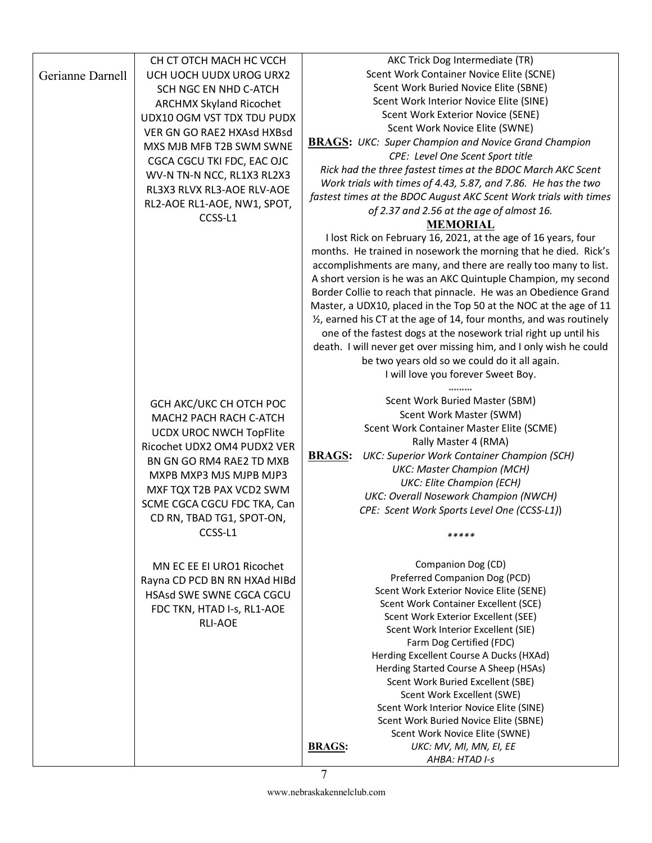|                  | CH CT OTCH MACH HC VCCH        | AKC Trick Dog Intermediate (TR)                                     |
|------------------|--------------------------------|---------------------------------------------------------------------|
| Gerianne Darnell | UCH UOCH UUDX UROG URX2        | Scent Work Container Novice Elite (SCNE)                            |
|                  | SCH NGC EN NHD C-ATCH          | Scent Work Buried Novice Elite (SBNE)                               |
|                  | <b>ARCHMX Skyland Ricochet</b> | Scent Work Interior Novice Elite (SINE)                             |
|                  | UDX10 OGM VST TDX TDU PUDX     | Scent Work Exterior Novice (SENE)                                   |
|                  | VER GN GO RAE2 HXAsd HXBsd     | Scent Work Novice Elite (SWNE)                                      |
|                  | MXS MJB MFB T2B SWM SWNE       | <b>BRAGS:</b> UKC: Super Champion and Novice Grand Champion         |
|                  | CGCA CGCU TKI FDC, EAC OJC     | CPE: Level One Scent Sport title                                    |
|                  | WV-N TN-N NCC, RL1X3 RL2X3     | Rick had the three fastest times at the BDOC March AKC Scent        |
|                  | RL3X3 RLVX RL3-AOE RLV-AOE     | Work trials with times of 4.43, 5.87, and 7.86. He has the two      |
|                  | RL2-AOE RL1-AOE, NW1, SPOT,    | fastest times at the BDOC August AKC Scent Work trials with times   |
|                  | CCSS-L1                        | of 2.37 and 2.56 at the age of almost 16.                           |
|                  |                                | <b>MEMORIAL</b>                                                     |
|                  |                                | I lost Rick on February 16, 2021, at the age of 16 years, four      |
|                  |                                | months. He trained in nosework the morning that he died. Rick's     |
|                  |                                | accomplishments are many, and there are really too many to list.    |
|                  |                                | A short version is he was an AKC Quintuple Champion, my second      |
|                  |                                | Border Collie to reach that pinnacle. He was an Obedience Grand     |
|                  |                                | Master, a UDX10, placed in the Top 50 at the NOC at the age of 11   |
|                  |                                | 1/2, earned his CT at the age of 14, four months, and was routinely |
|                  |                                | one of the fastest dogs at the nosework trial right up until his    |
|                  |                                | death. I will never get over missing him, and I only wish he could  |
|                  |                                | be two years old so we could do it all again.                       |
|                  |                                | I will love you forever Sweet Boy.                                  |
|                  |                                |                                                                     |
|                  | GCH AKC/UKC CH OTCH POC        | Scent Work Buried Master (SBM)                                      |
|                  | MACH2 PACH RACH C-ATCH         | Scent Work Master (SWM)                                             |
|                  | <b>UCDX UROC NWCH TopFlite</b> | Scent Work Container Master Elite (SCME)                            |
|                  | Ricochet UDX2 OM4 PUDX2 VER    | Rally Master 4 (RMA)                                                |
|                  | BN GN GO RM4 RAE2 TD MXB       | <b>BRAGS:</b><br><b>UKC: Superior Work Container Champion (SCH)</b> |
|                  | MXPB MXP3 MJS MJPB MJP3        | <b>UKC: Master Champion (MCH)</b>                                   |
|                  | MXF TQX T2B PAX VCD2 SWM       | <b>UKC: Elite Champion (ECH)</b>                                    |
|                  | SCME CGCA CGCU FDC TKA, Can    | UKC: Overall Nosework Champion (NWCH)                               |
|                  | CD RN, TBAD TG1, SPOT-ON,      | CPE: Scent Work Sports Level One (CCSS-L1))                         |
|                  | CCSS-L1                        | *****                                                               |
|                  |                                |                                                                     |
|                  | MN EC EE EI URO1 Ricochet      | Companion Dog (CD)                                                  |
|                  | Rayna CD PCD BN RN HXAd HIBd   | Preferred Companion Dog (PCD)                                       |
|                  | HSAsd SWE SWNE CGCA CGCU       | Scent Work Exterior Novice Elite (SENE)                             |
|                  |                                | Scent Work Container Excellent (SCE)                                |
|                  | FDC TKN, HTAD I-s, RL1-AOE     | Scent Work Exterior Excellent (SEE)                                 |
|                  | <b>RLI-AOE</b>                 | Scent Work Interior Excellent (SIE)                                 |
|                  |                                | Farm Dog Certified (FDC)                                            |
|                  |                                | Herding Excellent Course A Ducks (HXAd)                             |
|                  |                                | Herding Started Course A Sheep (HSAs)                               |
|                  |                                | Scent Work Buried Excellent (SBE)                                   |
|                  |                                | Scent Work Excellent (SWE)                                          |
|                  |                                | Scent Work Interior Novice Elite (SINE)                             |
|                  |                                | Scent Work Buried Novice Elite (SBNE)                               |
|                  |                                | Scent Work Novice Elite (SWNE)                                      |
|                  |                                | <b>BRAGS:</b><br>UKC: MV, MI, MN, EI, EE                            |
|                  |                                | AHBA: HTAD I-s                                                      |

www.nebraskakennelclub.com